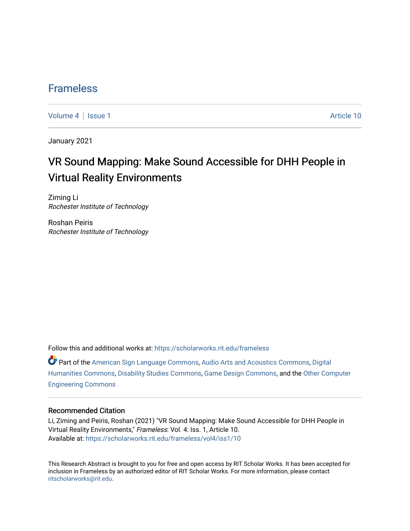### [Frameless](https://scholarworks.rit.edu/frameless)

[Volume 4](https://scholarworks.rit.edu/frameless/vol4) | [Issue 1](https://scholarworks.rit.edu/frameless/vol4/iss1) Article 10

January 2021

## VR Sound Mapping: Make Sound Accessible for DHH People in Virtual Reality Environments

Ziming Li Rochester Institute of Technology

Roshan Peiris Rochester Institute of Technology

Follow this and additional works at: [https://scholarworks.rit.edu/frameless](https://scholarworks.rit.edu/frameless?utm_source=scholarworks.rit.edu%2Fframeless%2Fvol4%2Fiss1%2F10&utm_medium=PDF&utm_campaign=PDFCoverPages)

Part of the [American Sign Language Commons,](https://network.bepress.com/hgg/discipline/1402?utm_source=scholarworks.rit.edu%2Fframeless%2Fvol4%2Fiss1%2F10&utm_medium=PDF&utm_campaign=PDFCoverPages) [Audio Arts and Acoustics Commons](https://network.bepress.com/hgg/discipline/1140?utm_source=scholarworks.rit.edu%2Fframeless%2Fvol4%2Fiss1%2F10&utm_medium=PDF&utm_campaign=PDFCoverPages), [Digital](https://network.bepress.com/hgg/discipline/1286?utm_source=scholarworks.rit.edu%2Fframeless%2Fvol4%2Fiss1%2F10&utm_medium=PDF&utm_campaign=PDFCoverPages)  [Humanities Commons,](https://network.bepress.com/hgg/discipline/1286?utm_source=scholarworks.rit.edu%2Fframeless%2Fvol4%2Fiss1%2F10&utm_medium=PDF&utm_campaign=PDFCoverPages) [Disability Studies Commons,](https://network.bepress.com/hgg/discipline/1417?utm_source=scholarworks.rit.edu%2Fframeless%2Fvol4%2Fiss1%2F10&utm_medium=PDF&utm_campaign=PDFCoverPages) [Game Design Commons](https://network.bepress.com/hgg/discipline/1133?utm_source=scholarworks.rit.edu%2Fframeless%2Fvol4%2Fiss1%2F10&utm_medium=PDF&utm_campaign=PDFCoverPages), and the [Other Computer](https://network.bepress.com/hgg/discipline/265?utm_source=scholarworks.rit.edu%2Fframeless%2Fvol4%2Fiss1%2F10&utm_medium=PDF&utm_campaign=PDFCoverPages)  [Engineering Commons](https://network.bepress.com/hgg/discipline/265?utm_source=scholarworks.rit.edu%2Fframeless%2Fvol4%2Fiss1%2F10&utm_medium=PDF&utm_campaign=PDFCoverPages) 

#### Recommended Citation

Li, Ziming and Peiris, Roshan (2021) "VR Sound Mapping: Make Sound Accessible for DHH People in Virtual Reality Environments," Frameless: Vol. 4: Iss. 1, Article 10. Available at: [https://scholarworks.rit.edu/frameless/vol4/iss1/10](https://scholarworks.rit.edu/frameless/vol4/iss1/10?utm_source=scholarworks.rit.edu%2Fframeless%2Fvol4%2Fiss1%2F10&utm_medium=PDF&utm_campaign=PDFCoverPages) 

This Research Abstract is brought to you for free and open access by RIT Scholar Works. It has been accepted for inclusion in Frameless by an authorized editor of RIT Scholar Works. For more information, please contact [ritscholarworks@rit.edu](mailto:ritscholarworks@rit.edu).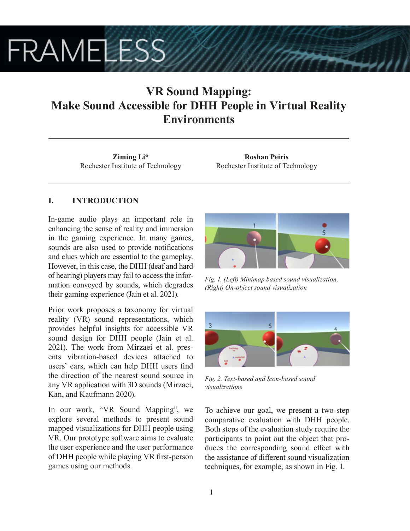# **FRAMELESS**

## **VR Sound Mapping: Make Sound Accessible for DHH People in Virtual Reality Environments**

**Ziming Li\*** Rochester Institute of Technology

**Roshan Peiris** Rochester Institute of Technology

### **I. INTRODUCTION**

In-game audio plays an important role in enhancing the sense of reality and immersion in the gaming experience. In many games, sounds are also used to provide notifications and clues which are essential to the gameplay. However, in this case, the DHH (deaf and hard of hearing) players may fail to access the information conveyed by sounds, which degrades their gaming experience (Jain et al. 2021).

Prior work proposes a taxonomy for virtual reality (VR) sound representations, which provides helpful insights for accessible VR sound design for DHH people (Jain et al. 2021). The work from Mirzaei et al. presents vibration-based devices attached to users' ears, which can help DHH users find the direction of the nearest sound source in any VR application with 3D sounds (Mirzaei, Kan, and Kaufmann 2020).

In our work, "VR Sound Mapping", we explore several methods to present sound mapped visualizations for DHH people using VR. Our prototype software aims to evaluate the user experience and the user performance of DHH people while playing VR first-person games using our methods.



*Fig. 1. (Left) Minimap based sound visualization, (Right) On-object sound visualization*



*Fig. 2. Text-based and Icon-based sound visualizations*

To achieve our goal, we present a two-step comparative evaluation with DHH people. Both steps of the evaluation study require the participants to point out the object that produces the corresponding sound effect with the assistance of different sound visualization techniques, for example, as shown in Fig. 1.